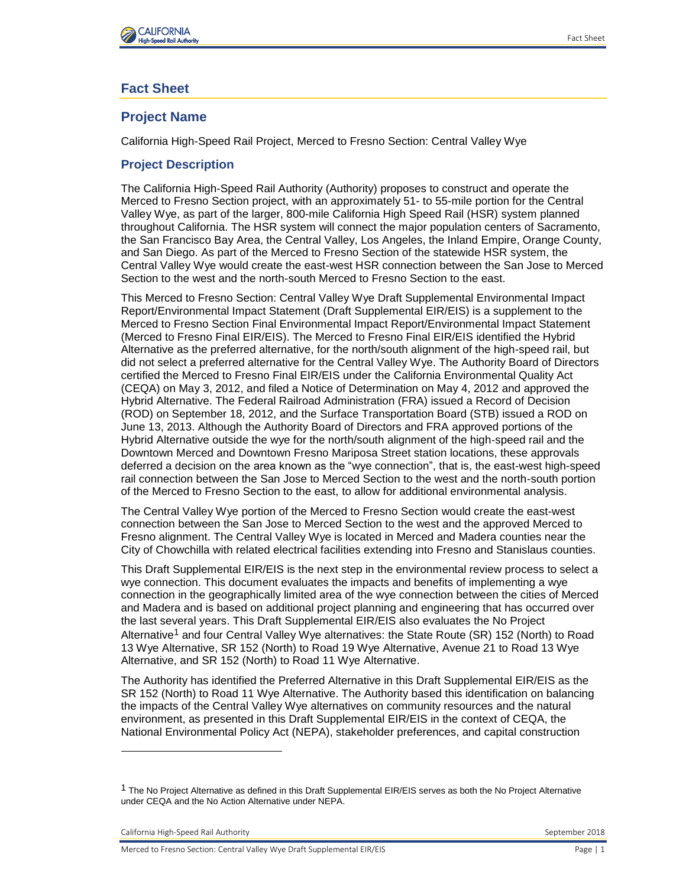

# **Fact Sheet**

# **Project Name**

California High-Speed Rail Project, Merced to Fresno Section: Central Valley Wye

## **Project Description**

The California High-Speed Rail Authority (Authority) proposes to construct and operate the Merced to Fresno Section project, with an approximately 51- to 55-mile portion for the Central Valley Wye, as part of the larger, 800-mile California High Speed Rail (HSR) system planned throughout California. The HSR system will connect the major population centers of Sacramento, the San Francisco Bay Area, the Central Valley, Los Angeles, the Inland Empire, Orange County, and San Diego. As part of the Merced to Fresno Section of the statewide HSR system, the Central Valley Wye would create the east-west HSR connection between the San Jose to Merced Section to the west and the north-south Merced to Fresno Section to the east.

This Merced to Fresno Section: Central Valley Wye Draft Supplemental Environmental Impact Report/Environmental Impact Statement (Draft Supplemental EIR/EIS) is a supplement to the Merced to Fresno Section Final Environmental Impact Report/Environmental Impact Statement (Merced to Fresno Final EIR/EIS). The Merced to Fresno Final EIR/EIS identified the Hybrid Alternative as the preferred alternative, for the north/south alignment of the high-speed rail, but did not select a preferred alternative for the Central Valley Wye. The Authority Board of Directors certified the Merced to Fresno Final EIR/EIS under the California Environmental Quality Act (CEQA) on May 3, 2012, and filed a Notice of Determination on May 4, 2012 and approved the Hybrid Alternative. The Federal Railroad Administration (FRA) issued a Record of Decision (ROD) on September 18, 2012, and the Surface Transportation Board (STB) issued a ROD on June 13, 2013. Although the Authority Board of Directors and FRA approved portions of the Hybrid Alternative outside the wye for the north/south alignment of the high‐speed rail and the Downtown Merced and Downtown Fresno Mariposa Street station locations, these approvals deferred a decision on the area known as the "wye connection", that is, the east-west high-speed rail connection between the San Jose to Merced Section to the west and the north-south portion of the Merced to Fresno Section to the east, to allow for additional environmental analysis.

The Central Valley Wye portion of the Merced to Fresno Section would create the east-west connection between the San Jose to Merced Section to the west and the approved Merced to Fresno alignment. The Central Valley Wye is located in Merced and Madera counties near the City of Chowchilla with related electrical facilities extending into Fresno and Stanislaus counties.

This Draft Supplemental EIR/EIS is the next step in the environmental review process to select a wye connection. This document evaluates the impacts and benefits of implementing a wye connection in the geographically limited area of the wye connection between the cities of Merced and Madera and is based on additional project planning and engineering that has occurred over the last several years. This Draft Supplemental EIR/EIS also evaluates the No Project Alternative<sup>1</sup> and four Central Valley Wye alternatives: the State Route (SR) 152 (North) to Road 13 Wye Alternative, SR 152 (North) to Road 19 Wye Alternative, Avenue 21 to Road 13 Wye Alternative, and SR 152 (North) to Road 11 Wye Alternative.

The Authority has identified the Preferred Alternative in this Draft Supplemental EIR/EIS as the SR 152 (North) to Road 11 Wye Alternative. The Authority based this identification on balancing the impacts of the Central Valley Wye alternatives on community resources and the natural environment, as presented in this Draft Supplemental EIR/EIS in the context of CEQA, the National Environmental Policy Act (NEPA), stakeholder preferences, and capital construction

California High-Speed Rail Authority September 2018

l

 $1$  The No Proiect Alternative as defined in this Draft Supplemental EIR/EIS serves as both the No Project Alternative under CEQA and the No Action Alternative under NEPA.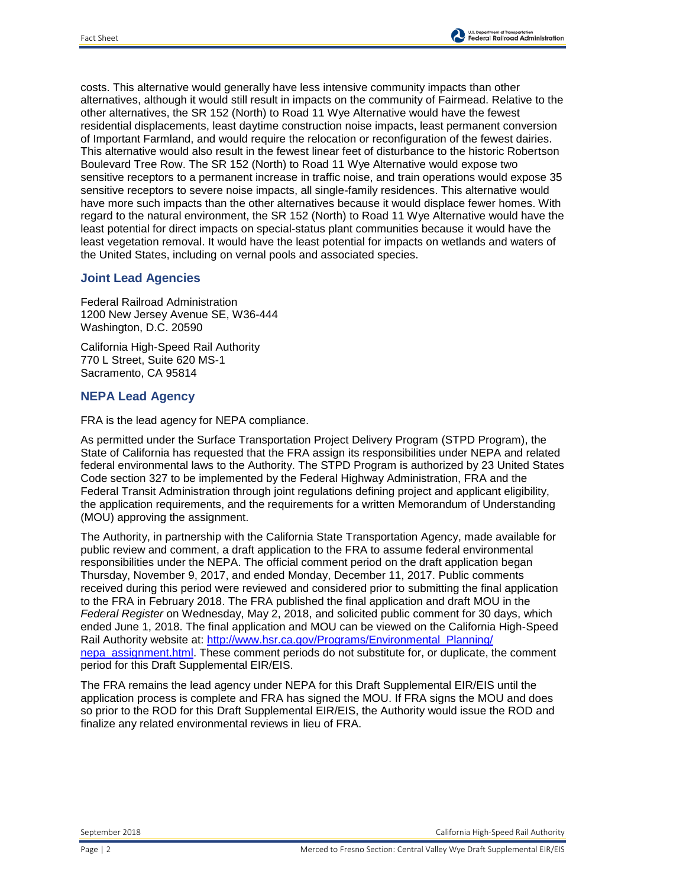

costs. This alternative would generally have less intensive community impacts than other alternatives, although it would still result in impacts on the community of Fairmead. Relative to the other alternatives, the SR 152 (North) to Road 11 Wye Alternative would have the fewest residential displacements, least daytime construction noise impacts, least permanent conversion of Important Farmland, and would require the relocation or reconfiguration of the fewest dairies. This alternative would also result in the fewest linear feet of disturbance to the historic Robertson Boulevard Tree Row. The SR 152 (North) to Road 11 Wye Alternative would expose two sensitive receptors to a permanent increase in traffic noise, and train operations would expose 35 sensitive receptors to severe noise impacts, all single-family residences. This alternative would have more such impacts than the other alternatives because it would displace fewer homes. With regard to the natural environment, the SR 152 (North) to Road 11 Wye Alternative would have the least potential for direct impacts on special-status plant communities because it would have the least vegetation removal. It would have the least potential for impacts on wetlands and waters of the United States, including on vernal pools and associated species.

#### **Joint Lead Agencies**

Federal Railroad Administration 1200 New Jersey Avenue SE, W36-444 Washington, D.C. 20590

California High-Speed Rail Authority 770 L Street, Suite 620 MS-1 Sacramento, CA 95814

#### **NEPA Lead Agency**

FRA is the lead agency for NEPA compliance.

As permitted under the Surface Transportation Project Delivery Program (STPD Program), the State of California has requested that the FRA assign its responsibilities under NEPA and related federal environmental laws to the Authority. The STPD Program is authorized by 23 United States Code section 327 to be implemented by the Federal Highway Administration, FRA and the Federal Transit Administration through joint regulations defining project and applicant eligibility, the application requirements, and the requirements for a written Memorandum of Understanding (MOU) approving the assignment.

The Authority, in partnership with the California State Transportation Agency, made available for public review and comment, a draft application to the FRA to assume federal environmental responsibilities under the NEPA. The official comment period on the draft application began Thursday, November 9, 2017, and ended Monday, December 11, 2017. Public comments received during this period were reviewed and considered prior to submitting the final application to the FRA in February 2018. The FRA published the final application and draft MOU in the *Federal Register* on Wednesday, May 2, 2018, and solicited public comment for 30 days, which ended June 1, 2018. The final application and MOU can be viewed on the California High-Speed Rail Authority website at: [http://www.hsr.ca.gov/Programs/Environmental\\_Planning/](http://www.hsr.ca.gov/Programs/Environmental_Planning/nepa_assignment.html) [nepa\\_assignment.html.](http://www.hsr.ca.gov/Programs/Environmental_Planning/nepa_assignment.html) These comment periods do not substitute for, or duplicate, the comment period for this Draft Supplemental EIR/EIS.

The FRA remains the lead agency under NEPA for this Draft Supplemental EIR/EIS until the application process is complete and FRA has signed the MOU. If FRA signs the MOU and does so prior to the ROD for this Draft Supplemental EIR/EIS, the Authority would issue the ROD and finalize any related environmental reviews in lieu of FRA.

September 2018 California High-Speed Rail Authority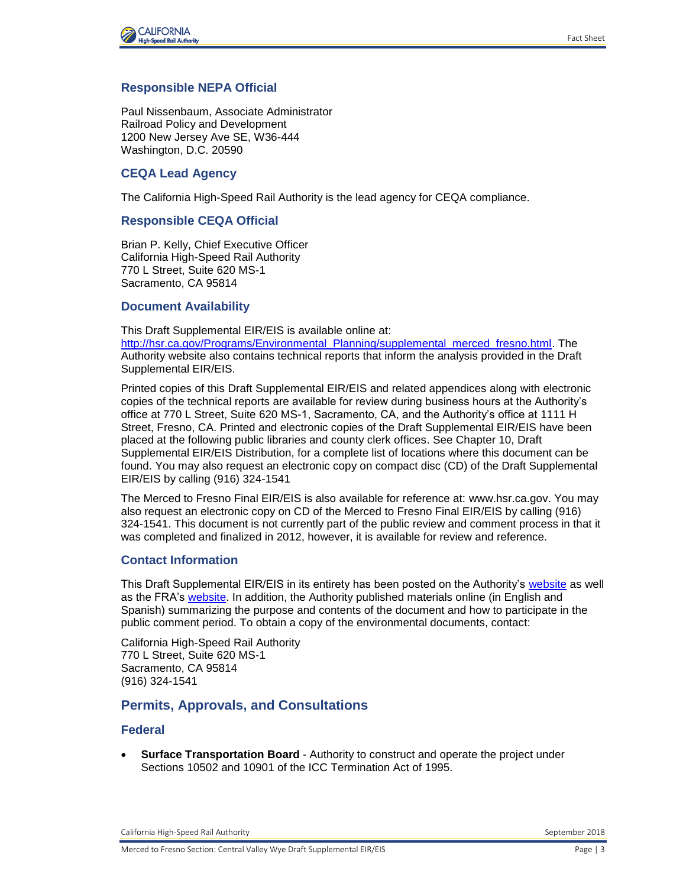

#### **Responsible NEPA Official**

Paul Nissenbaum, Associate Administrator Railroad Policy and Development 1200 New Jersey Ave SE, W36-444 Washington, D.C. 20590

#### **CEQA Lead Agency**

The California High-Speed Rail Authority is the lead agency for CEQA compliance.

#### **Responsible CEQA Official**

Brian P. Kelly, Chief Executive Officer California High-Speed Rail Authority 770 L Street, Suite 620 MS-1 Sacramento, CA 95814

#### **Document Availability**

This Draft Supplemental EIR/EIS is available online at:

[http://hsr.ca.gov/Programs/Environmental\\_Planning/supplemental\\_merced\\_fresno.html.](http://hsr.ca.gov/Programs/Environmental_Planning/supplemental_merced_fresno.html) The Authority website also contains technical reports that inform the analysis provided in the Draft Supplemental EIR/EIS.

Printed copies of this Draft Supplemental EIR/EIS and related appendices along with electronic copies of the technical reports are available for review during business hours at the Authority's office at 770 L Street, Suite 620 MS-1, Sacramento, CA, and the Authority's office at 1111 H Street, Fresno, CA. Printed and electronic copies of the Draft Supplemental EIR/EIS have been placed at the following public libraries and county clerk offices. See Chapter 10, Draft Supplemental EIR/EIS Distribution, for a complete list of locations where this document can be found. You may also request an electronic copy on compact disc (CD) of the Draft Supplemental EIR/EIS by calling (916) 324-1541

The Merced to Fresno Final EIR/EIS is also available for reference at: [www.hsr.ca.gov.](http://www.hsr.ca.gov/) You may also request an electronic copy on CD of the Merced to Fresno Final EIR/EIS by calling (916) 324-1541. This document is not currently part of the public review and comment process in that it was completed and finalized in 2012, however, it is available for review and reference.

#### **Contact Information**

This Draft Supplemental EIR/EIS in its entirety has been posted on the Authority's [website](http://hsr.ca.gov/Programs/Environmental_Planning/supplemental_merced_fresno.html) as well as the FRA's [website.](https://www.fra.dot.gov/) In addition, the Authority published materials online (in English and Spanish) summarizing the purpose and contents of the document and how to participate in the public comment period. To obtain a copy of the environmental documents, contact:

California High-Speed Rail Authority 770 L Street, Suite 620 MS-1 Sacramento, CA 95814 (916) 324-1541

## **Permits, Approvals, and Consultations**

#### **Federal**

 **Surface Transportation Board** - Authority to construct and operate the project under Sections 10502 and 10901 of the ICC Termination Act of 1995.

California High-Speed Rail Authority September 2018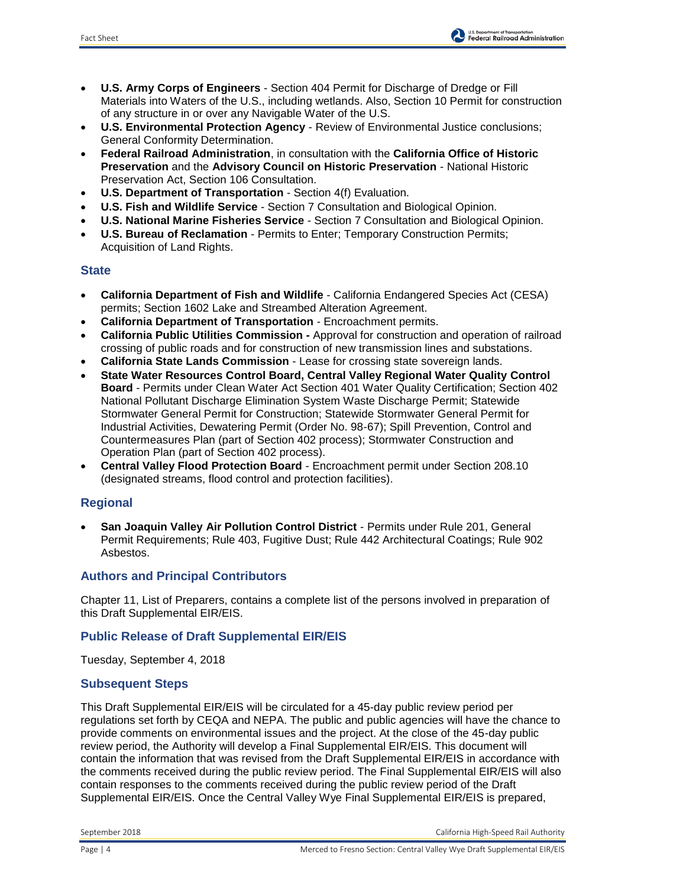

- **U.S. Army Corps of Engineers** Section 404 Permit for Discharge of Dredge or Fill Materials into Waters of the U.S., including wetlands. Also, Section 10 Permit for construction of any structure in or over any Navigable Water of the U.S.
- **U.S. Environmental Protection Agency** Review of Environmental Justice conclusions; General Conformity Determination.
- **Federal Railroad Administration**, in consultation with the **California Office of Historic Preservation** and the **Advisory Council on Historic Preservation** - National Historic Preservation Act, Section 106 Consultation.
- **U.S. Department of Transportation** Section 4(f) Evaluation.
- **U.S. Fish and Wildlife Service** Section 7 Consultation and Biological Opinion.
- **U.S. National Marine Fisheries Service** Section 7 Consultation and Biological Opinion.
- **U.S. Bureau of Reclamation** Permits to Enter; Temporary Construction Permits; Acquisition of Land Rights.

## **State**

- **California Department of Fish and Wildlife** California Endangered Species Act (CESA) permits; Section 1602 Lake and Streambed Alteration Agreement.
- **California Department of Transportation**  Encroachment permits.
- **California Public Utilities Commission -** Approval for construction and operation of railroad crossing of public roads and for construction of new transmission lines and substations.
- **California State Lands Commission**  Lease for crossing state sovereign lands.
- **State Water Resources Control Board, Central Valley Regional Water Quality Control Board** - Permits under Clean Water Act Section 401 Water Quality Certification; Section 402 National Pollutant Discharge Elimination System Waste Discharge Permit; Statewide Stormwater General Permit for Construction; Statewide Stormwater General Permit for Industrial Activities, Dewatering Permit (Order No. 98-67); Spill Prevention, Control and Countermeasures Plan (part of Section 402 process); Stormwater Construction and Operation Plan (part of Section 402 process).
- **Central Valley Flood Protection Board** Encroachment permit under Section 208.10 (designated streams, flood control and protection facilities).

## **Regional**

 **San Joaquin Valley Air Pollution Control District** - Permits under Rule 201, General Permit Requirements; Rule 403, Fugitive Dust; Rule 442 Architectural Coatings; Rule 902 Asbestos.

## **Authors and Principal Contributors**

Chapter 11, List of Preparers, contains a complete list of the persons involved in preparation of this Draft Supplemental EIR/EIS.

## **Public Release of Draft Supplemental EIR/EIS**

Tuesday, September 4, 2018

## **Subsequent Steps**

This Draft Supplemental EIR/EIS will be circulated for a 45-day public review period per regulations set forth by CEQA and NEPA. The public and public agencies will have the chance to provide comments on environmental issues and the project. At the close of the 45-day public review period, the Authority will develop a Final Supplemental EIR/EIS. This document will contain the information that was revised from the Draft Supplemental EIR/EIS in accordance with the comments received during the public review period. The Final Supplemental EIR/EIS will also contain responses to the comments received during the public review period of the Draft Supplemental EIR/EIS. Once the Central Valley Wye Final Supplemental EIR/EIS is prepared,